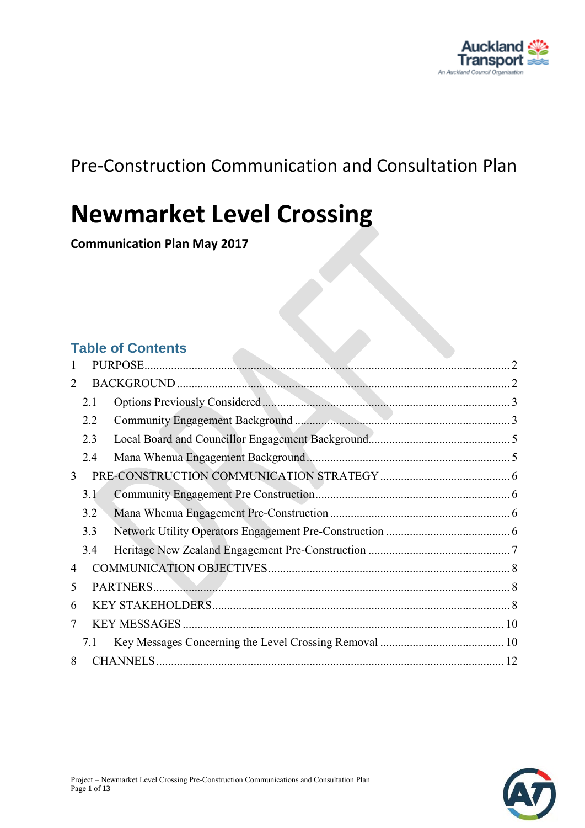

## Pre-Construction Communication and Consultation Plan

# **Newmarket Level Crossing**

**Communication Plan May 2017** 

### **Table of Contents**

| 1 |     |  |
|---|-----|--|
| 2 |     |  |
|   | 2.1 |  |
|   | 2.2 |  |
|   | 2.3 |  |
|   | 2.4 |  |
| 3 |     |  |
|   | 3.1 |  |
|   | 3.2 |  |
|   | 3.3 |  |
|   | 3.4 |  |
| 4 |     |  |
| 5 |     |  |
| 6 |     |  |
| 7 |     |  |
|   | 7.1 |  |
| 8 |     |  |

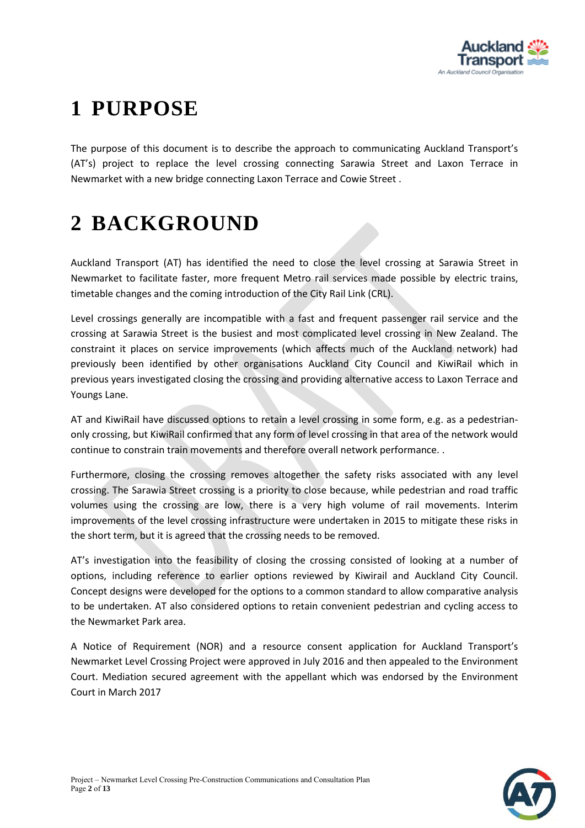

# <span id="page-1-0"></span>**1 PURPOSE**

The purpose of this document is to describe the approach to communicating Auckland Transport's (AT's) project to replace the level crossing connecting Sarawia Street and Laxon Terrace in Newmarket with a new bridge connecting Laxon Terrace and Cowie Street .

## <span id="page-1-1"></span>**2 BACKGROUND**

Auckland Transport (AT) has identified the need to close the level crossing at Sarawia Street in Newmarket to facilitate faster, more frequent Metro rail services made possible by electric trains, timetable changes and the coming introduction of the City Rail Link (CRL).

Level crossings generally are incompatible with a fast and frequent passenger rail service and the crossing at Sarawia Street is the busiest and most complicated level crossing in New Zealand. The constraint it places on service improvements (which affects much of the Auckland network) had previously been identified by other organisations Auckland City Council and KiwiRail which in previous years investigated closing the crossing and providing alternative access to Laxon Terrace and Youngs Lane.

AT and KiwiRail have discussed options to retain a level crossing in some form, e.g. as a pedestrianonly crossing, but KiwiRail confirmed that any form of level crossing in that area of the network would continue to constrain train movements and therefore overall network performance. .

Furthermore, closing the crossing removes altogether the safety risks associated with any level crossing. The Sarawia Street crossing is a priority to close because, while pedestrian and road traffic volumes using the crossing are low, there is a very high volume of rail movements. Interim improvements of the level crossing infrastructure were undertaken in 2015 to mitigate these risks in the short term, but it is agreed that the crossing needs to be removed.

AT's investigation into the feasibility of closing the crossing consisted of looking at a number of options, including reference to earlier options reviewed by Kiwirail and Auckland City Council. Concept designs were developed for the options to a common standard to allow comparative analysis to be undertaken. AT also considered options to retain convenient pedestrian and cycling access to the Newmarket Park area.

A Notice of Requirement (NOR) and a resource consent application for Auckland Transport's Newmarket Level Crossing Project were approved in July 2016 and then appealed to the Environment Court. Mediation secured agreement with the appellant which was endorsed by the Environment Court in March 2017

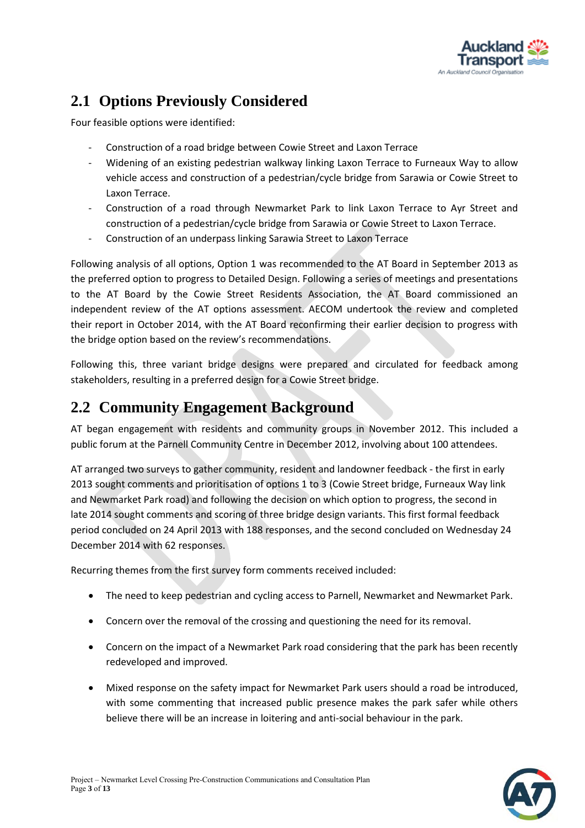

## <span id="page-2-0"></span>**2.1 Options Previously Considered**

Four feasible options were identified:

- Construction of a road bridge between Cowie Street and Laxon Terrace
- Widening of an existing pedestrian walkway linking Laxon Terrace to Furneaux Way to allow vehicle access and construction of a pedestrian/cycle bridge from Sarawia or Cowie Street to Laxon Terrace.
- Construction of a road through Newmarket Park to link Laxon Terrace to Ayr Street and construction of a pedestrian/cycle bridge from Sarawia or Cowie Street to Laxon Terrace.
- Construction of an underpass linking Sarawia Street to Laxon Terrace

Following analysis of all options, Option 1 was recommended to the AT Board in September 2013 as the preferred option to progress to Detailed Design. Following a series of meetings and presentations to the AT Board by the Cowie Street Residents Association, the AT Board commissioned an independent review of the AT options assessment. AECOM undertook the review and completed their report in October 2014, with the AT Board reconfirming their earlier decision to progress with the bridge option based on the review's recommendations.

Following this, three variant bridge designs were prepared and circulated for feedback among stakeholders, resulting in a preferred design for a Cowie Street bridge.

### <span id="page-2-1"></span>**2.2 Community Engagement Background**

AT began engagement with residents and community groups in November 2012. This included a public forum at the Parnell Community Centre in December 2012, involving about 100 attendees.

AT arranged two surveys to gather community, resident and landowner feedback - the first in early 2013 sought comments and prioritisation of options 1 to 3 (Cowie Street bridge, Furneaux Way link and Newmarket Park road) and following the decision on which option to progress, the second in late 2014 sought comments and scoring of three bridge design variants. This first formal feedback period concluded on 24 April 2013 with 188 responses, and the second concluded on Wednesday 24 December 2014 with 62 responses.

Recurring themes from the first survey form comments received included:

- The need to keep pedestrian and cycling access to Parnell, Newmarket and Newmarket Park.
- Concern over the removal of the crossing and questioning the need for its removal.
- Concern on the impact of a Newmarket Park road considering that the park has been recently redeveloped and improved.
- Mixed response on the safety impact for Newmarket Park users should a road be introduced, with some commenting that increased public presence makes the park safer while others believe there will be an increase in loitering and anti-social behaviour in the park.

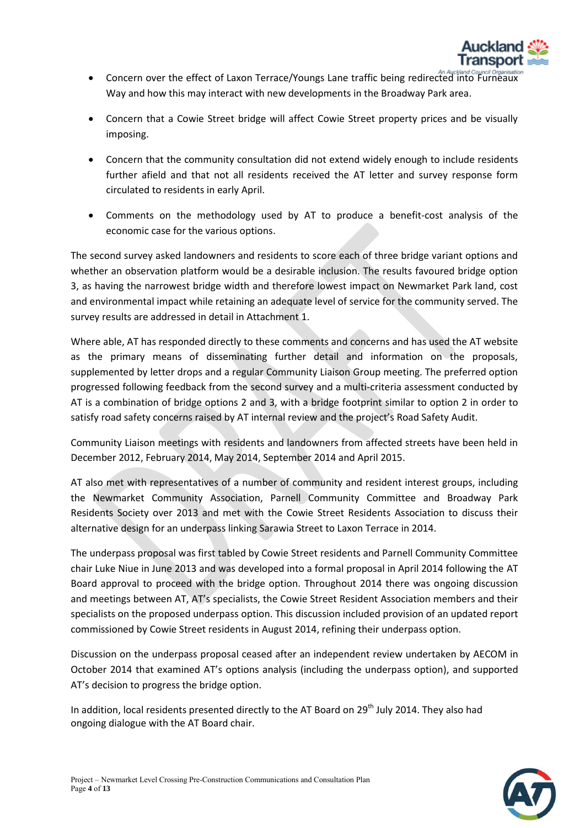

- Concern over the effect of Laxon Terrace/Youngs Lane traffic being redirected into Furneaux Way and how this may interact with new developments in the Broadway Park area.
- Concern that a Cowie Street bridge will affect Cowie Street property prices and be visually imposing.
- Concern that the community consultation did not extend widely enough to include residents further afield and that not all residents received the AT letter and survey response form circulated to residents in early April.
- Comments on the methodology used by AT to produce a benefit-cost analysis of the economic case for the various options.

The second survey asked landowners and residents to score each of three bridge variant options and whether an observation platform would be a desirable inclusion. The results favoured bridge option 3, as having the narrowest bridge width and therefore lowest impact on Newmarket Park land, cost and environmental impact while retaining an adequate level of service for the community served. The survey results are addressed in detail in Attachment 1.

Where able, AT has responded directly to these comments and concerns and has used the AT website as the primary means of disseminating further detail and information on the proposals, supplemented by letter drops and a regular Community Liaison Group meeting. The preferred option progressed following feedback from the second survey and a multi-criteria assessment conducted by AT is a combination of bridge options 2 and 3, with a bridge footprint similar to option 2 in order to satisfy road safety concerns raised by AT internal review and the project's Road Safety Audit.

Community Liaison meetings with residents and landowners from affected streets have been held in December 2012, February 2014, May 2014, September 2014 and April 2015.

AT also met with representatives of a number of community and resident interest groups, including the Newmarket Community Association, Parnell Community Committee and Broadway Park Residents Society over 2013 and met with the Cowie Street Residents Association to discuss their alternative design for an underpass linking Sarawia Street to Laxon Terrace in 2014.

The underpass proposal was first tabled by Cowie Street residents and Parnell Community Committee chair Luke Niue in June 2013 and was developed into a formal proposal in April 2014 following the AT Board approval to proceed with the bridge option. Throughout 2014 there was ongoing discussion and meetings between AT, AT's specialists, the Cowie Street Resident Association members and their specialists on the proposed underpass option. This discussion included provision of an updated report commissioned by Cowie Street residents in August 2014, refining their underpass option.

Discussion on the underpass proposal ceased after an independent review undertaken by AECOM in October 2014 that examined AT's options analysis (including the underpass option), and supported AT's decision to progress the bridge option.

In addition, local residents presented directly to the AT Board on  $29<sup>th</sup>$  July 2014. They also had ongoing dialogue with the AT Board chair.

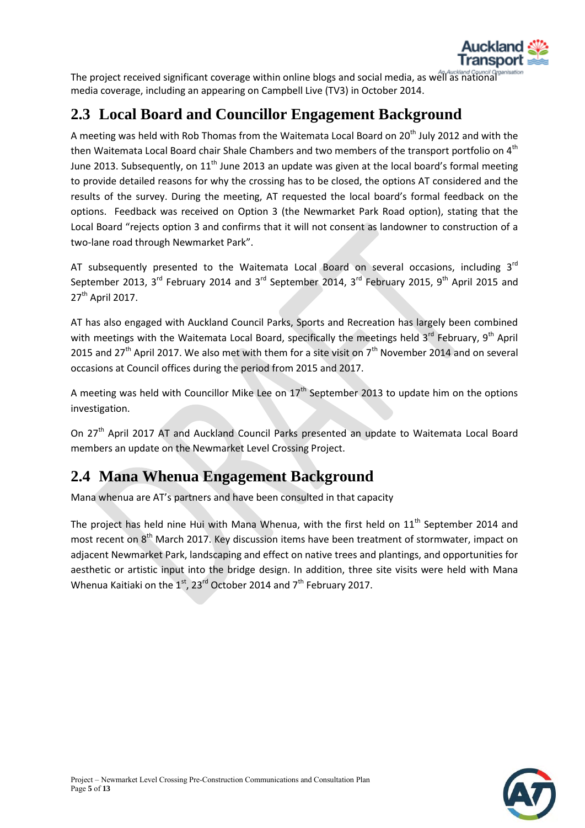

The project received significant coverage within online blogs and social media, as well as national media coverage, including an appearing on Campbell Live (TV3) in October 2014.

## <span id="page-4-0"></span>**2.3 Local Board and Councillor Engagement Background**

A meeting was held with Rob Thomas from the Waitemata Local Board on 20<sup>th</sup> July 2012 and with the then Waitemata Local Board chair Shale Chambers and two members of the transport portfolio on  $4<sup>th</sup>$ June 2013. Subsequently, on  $11<sup>th</sup>$  June 2013 an update was given at the local board's formal meeting to provide detailed reasons for why the crossing has to be closed, the options AT considered and the results of the survey. During the meeting, AT requested the local board's formal feedback on the options. Feedback was received on Option 3 (the Newmarket Park Road option), stating that the Local Board "rejects option 3 and confirms that it will not consent as landowner to construction of a two-lane road through Newmarket Park".

AT subsequently presented to the Waitemata Local Board on several occasions, including  $3<sup>rd</sup>$ September 2013, 3<sup>rd</sup> February 2014 and 3<sup>rd</sup> September 2014, 3<sup>rd</sup> February 2015, 9<sup>th</sup> April 2015 and  $27<sup>th</sup>$  April 2017.

AT has also engaged with Auckland Council Parks, Sports and Recreation has largely been combined with meetings with the Waitemata Local Board, specifically the meetings held 3<sup>rd</sup> February, 9<sup>th</sup> April 2015 and 27<sup>th</sup> April 2017. We also met with them for a site visit on  $7<sup>th</sup>$  November 2014 and on several occasions at Council offices during the period from 2015 and 2017.

A meeting was held with Councillor Mike Lee on  $17<sup>th</sup>$  September 2013 to update him on the options investigation.

On 27<sup>th</sup> April 2017 AT and Auckland Council Parks presented an update to Waitemata Local Board members an update on the Newmarket Level Crossing Project.

### <span id="page-4-1"></span>**2.4 Mana Whenua Engagement Background**

Mana whenua are AT's partners and have been consulted in that capacity

The project has held nine Hui with Mana Whenua, with the first held on  $11<sup>th</sup>$  September 2014 and most recent on 8<sup>th</sup> March 2017. Key discussion items have been treatment of stormwater, impact on adjacent Newmarket Park, landscaping and effect on native trees and plantings, and opportunities for aesthetic or artistic input into the bridge design. In addition, three site visits were held with Mana Whenua Kaitiaki on the  $1<sup>st</sup>$ , 23<sup>rd</sup> October 2014 and 7<sup>th</sup> February 2017.

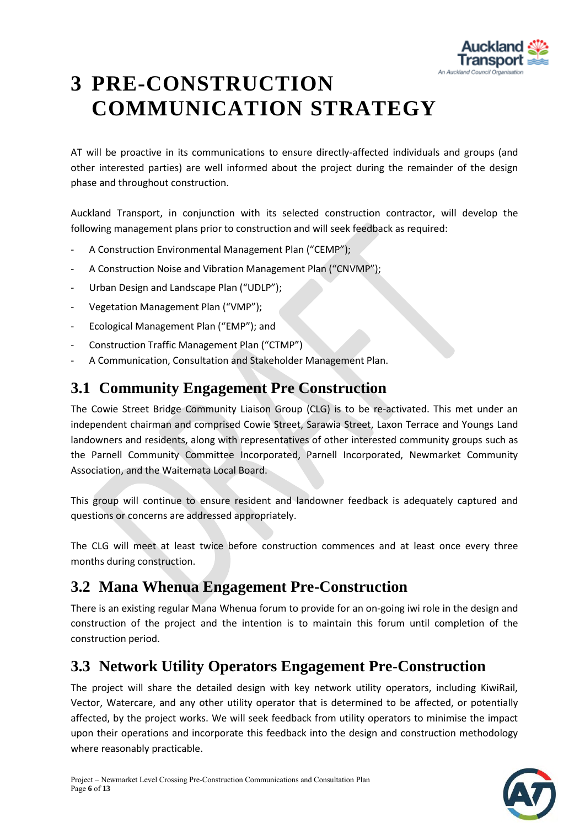

# <span id="page-5-0"></span>**3 PRE-CONSTRUCTION COMMUNICATION STRATEGY**

AT will be proactive in its communications to ensure directly-affected individuals and groups (and other interested parties) are well informed about the project during the remainder of the design phase and throughout construction.

Auckland Transport, in conjunction with its selected construction contractor, will develop the following management plans prior to construction and will seek feedback as required:

- A Construction Environmental Management Plan ("CEMP");
- A Construction Noise and Vibration Management Plan ("CNVMP");
- Urban Design and Landscape Plan ("UDLP"):
- Vegetation Management Plan ("VMP");
- Ecological Management Plan ("EMP"); and
- Construction Traffic Management Plan ("CTMP")
- A Communication, Consultation and Stakeholder Management Plan.

### <span id="page-5-1"></span>**3.1 Community Engagement Pre Construction**

The Cowie Street Bridge Community Liaison Group (CLG) is to be re-activated. This met under an independent chairman and comprised Cowie Street, Sarawia Street, Laxon Terrace and Youngs Land landowners and residents, along with representatives of other interested community groups such as the Parnell Community Committee Incorporated, Parnell Incorporated, Newmarket Community Association, and the Waitemata Local Board.

This group will continue to ensure resident and landowner feedback is adequately captured and questions or concerns are addressed appropriately.

The CLG will meet at least twice before construction commences and at least once every three months during construction.

### <span id="page-5-2"></span>**3.2 Mana Whenua Engagement Pre-Construction**

There is an existing regular Mana Whenua forum to provide for an on-going iwi role in the design and construction of the project and the intention is to maintain this forum until completion of the construction period.

### <span id="page-5-3"></span>**3.3 Network Utility Operators Engagement Pre-Construction**

The project will share the detailed design with key network utility operators, including KiwiRail, Vector, Watercare, and any other utility operator that is determined to be affected, or potentially affected, by the project works. We will seek feedback from utility operators to minimise the impact upon their operations and incorporate this feedback into the design and construction methodology where reasonably practicable.

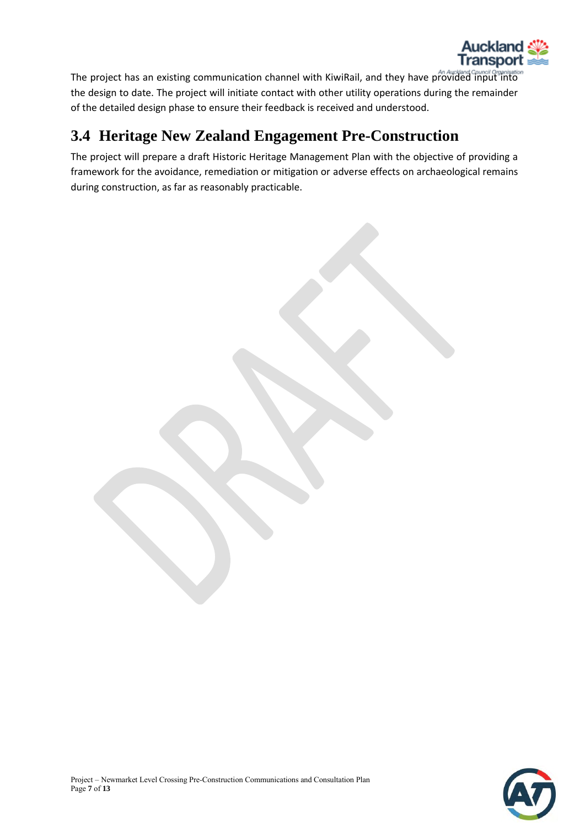

The project has an existing communication channel with KiwiRail, and they have provided input into the design to date. The project will initiate contact with other utility operations during the remainder of the detailed design phase to ensure their feedback is received and understood.

### <span id="page-6-0"></span>**3.4 Heritage New Zealand Engagement Pre-Construction**

The project will prepare a draft Historic Heritage Management Plan with the objective of providing a framework for the avoidance, remediation or mitigation or adverse effects on archaeological remains during construction, as far as reasonably practicable.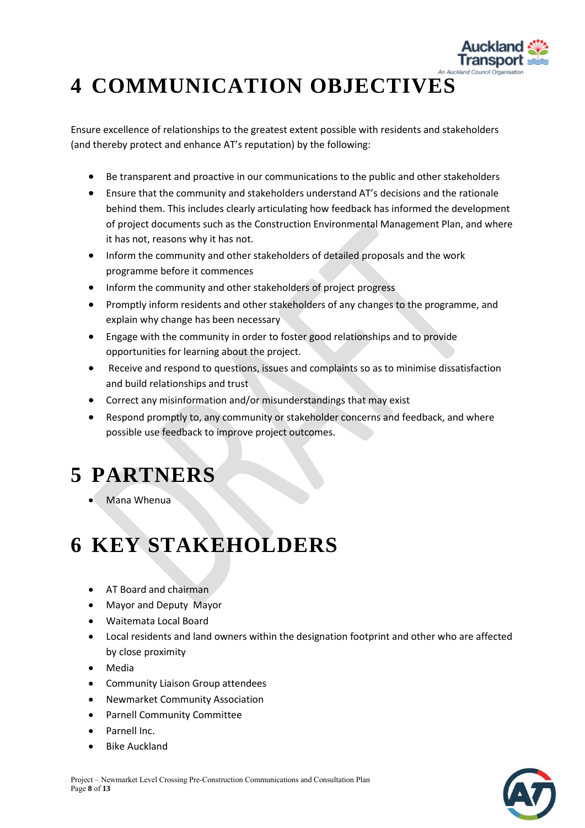

# <span id="page-7-0"></span>**4 COMMUNICATION OBJECTIVES**

Ensure excellence of relationships to the greatest extent possible with residents and stakeholders (and thereby protect and enhance AT's reputation) by the following:

- Be transparent and proactive in our communications to the public and other stakeholders
- Ensure that the community and stakeholders understand AT's decisions and the rationale behind them. This includes clearly articulating how feedback has informed the development of project documents such as the Construction Environmental Management Plan, and where it has not, reasons why it has not.
- Inform the community and other stakeholders of detailed proposals and the work programme before it commences
- Inform the community and other stakeholders of project progress
- Promptly inform residents and other stakeholders of any changes to the programme, and explain why change has been necessary
- Engage with the community in order to foster good relationships and to provide opportunities for learning about the project.
- Receive and respond to questions, issues and complaints so as to minimise dissatisfaction and build relationships and trust
- Correct any misinformation and/or misunderstandings that may exist
- Respond promptly to, any community or stakeholder concerns and feedback, and where possible use feedback to improve project outcomes.

# <span id="page-7-1"></span>**5 PARTNERS**

Mana Whenua

# <span id="page-7-2"></span>**6 KEY STAKEHOLDERS**

- AT Board and chairman
- Mayor and Deputy Mayor
- Waitemata Local Board
- Local residents and land owners within the designation footprint and other who are affected by close proximity
- Media
- Community Liaison Group attendees
- Newmarket Community Association
- Parnell Community Committee
- Parnell Inc.
- Bike Auckland

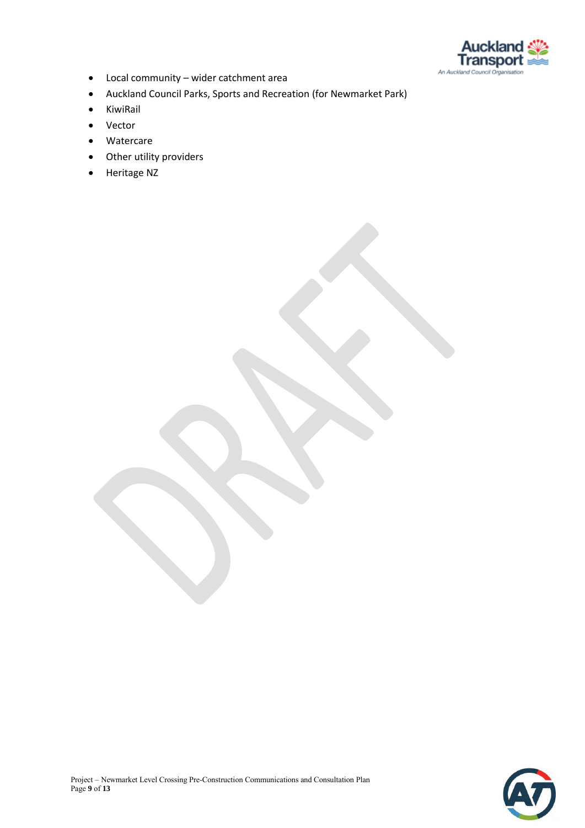

- Local community wider catchment area
- Auckland Council Parks, Sports and Recreation (for Newmarket Park)
- KiwiRail
- Vector
- Watercare
- Other utility providers
- Heritage NZ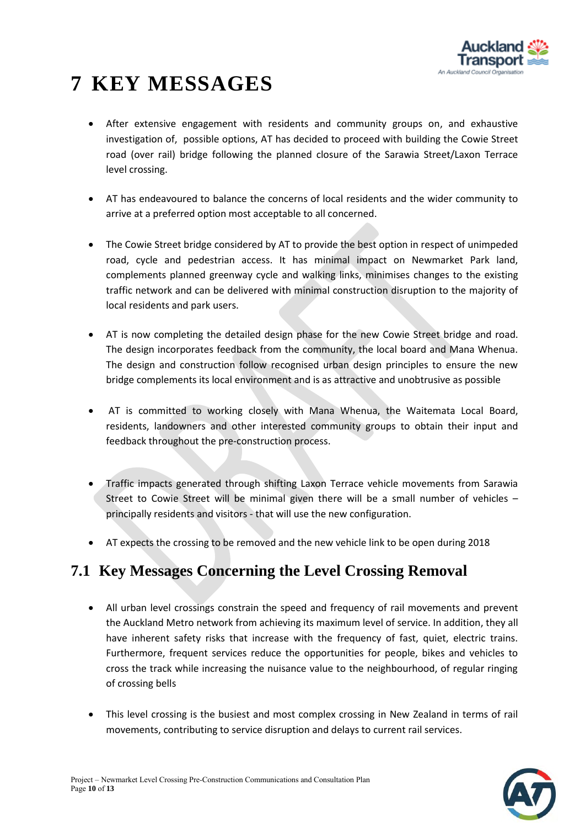

# <span id="page-9-0"></span>**7 KEY MESSAGES**

- After extensive engagement with residents and community groups on, and exhaustive investigation of, possible options, AT has decided to proceed with building the Cowie Street road (over rail) bridge following the planned closure of the Sarawia Street/Laxon Terrace level crossing.
- AT has endeavoured to balance the concerns of local residents and the wider community to arrive at a preferred option most acceptable to all concerned.
- The Cowie Street bridge considered by AT to provide the best option in respect of unimpeded road, cycle and pedestrian access. It has minimal impact on Newmarket Park land, complements planned greenway cycle and walking links, minimises changes to the existing traffic network and can be delivered with minimal construction disruption to the majority of local residents and park users.
- AT is now completing the detailed design phase for the new Cowie Street bridge and road. The design incorporates feedback from the community, the local board and Mana Whenua. The design and construction follow recognised urban design principles to ensure the new bridge complements its local environment and is as attractive and unobtrusive as possible
- AT is committed to working closely with Mana Whenua, the Waitemata Local Board, residents, landowners and other interested community groups to obtain their input and feedback throughout the pre-construction process.
- Traffic impacts generated through shifting Laxon Terrace vehicle movements from Sarawia Street to Cowie Street will be minimal given there will be a small number of vehicles – principally residents and visitors - that will use the new configuration.
- AT expects the crossing to be removed and the new vehicle link to be open during 2018

### <span id="page-9-1"></span>**7.1 Key Messages Concerning the Level Crossing Removal**

- All urban level crossings constrain the speed and frequency of rail movements and prevent the Auckland Metro network from achieving its maximum level of service. In addition, they all have inherent safety risks that increase with the frequency of fast, quiet, electric trains. Furthermore, frequent services reduce the opportunities for people, bikes and vehicles to cross the track while increasing the nuisance value to the neighbourhood, of regular ringing of crossing bells
- This level crossing is the busiest and most complex crossing in New Zealand in terms of rail movements, contributing to service disruption and delays to current rail services.

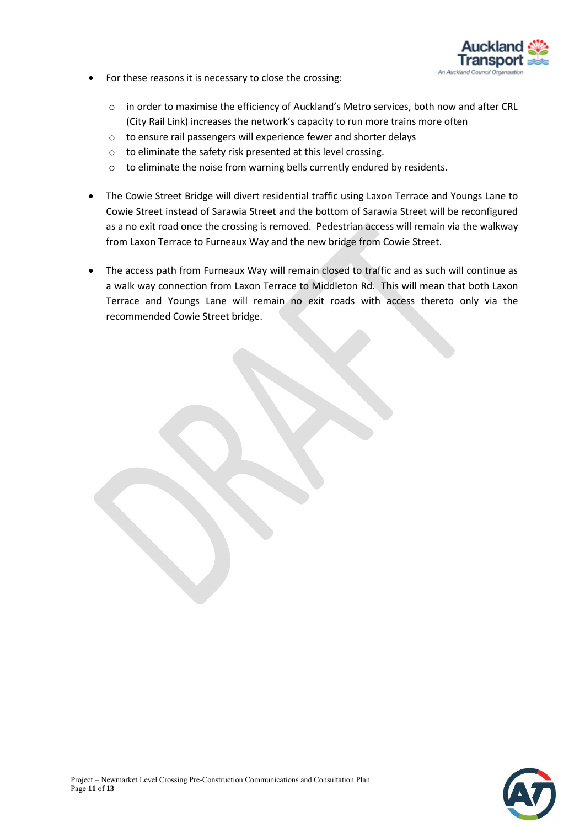

- For these reasons it is necessary to close the crossing:
	- o in order to maximise the efficiency of Auckland's Metro services, both now and after CRL (City Rail Link) increases the network's capacity to run more trains more often
	- o to ensure rail passengers will experience fewer and shorter delays
	- o to eliminate the safety risk presented at this level crossing.
	- o to eliminate the noise from warning bells currently endured by residents.
- The Cowie Street Bridge will divert residential traffic using Laxon Terrace and Youngs Lane to Cowie Street instead of Sarawia Street and the bottom of Sarawia Street will be reconfigured as a no exit road once the crossing is removed. Pedestrian access will remain via the walkway from Laxon Terrace to Furneaux Way and the new bridge from Cowie Street.
- The access path from Furneaux Way will remain closed to traffic and as such will continue as a walk way connection from Laxon Terrace to Middleton Rd. This will mean that both Laxon Terrace and Youngs Lane will remain no exit roads with access thereto only via the recommended Cowie Street bridge.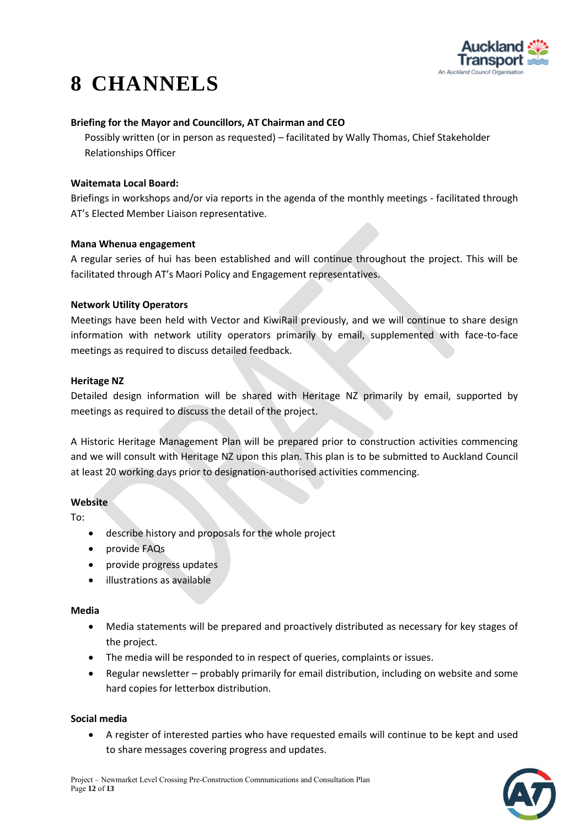

# <span id="page-11-0"></span>**8 CHANNELS**

### **Briefing for the Mayor and Councillors, AT Chairman and CEO**

Possibly written (or in person as requested) – facilitated by Wally Thomas, Chief Stakeholder Relationships Officer

### **Waitemata Local Board:**

Briefings in workshops and/or via reports in the agenda of the monthly meetings - facilitated through AT's Elected Member Liaison representative.

#### **Mana Whenua engagement**

A regular series of hui has been established and will continue throughout the project. This will be facilitated through AT's Maori Policy and Engagement representatives.

### **Network Utility Operators**

Meetings have been held with Vector and KiwiRail previously, and we will continue to share design information with network utility operators primarily by email, supplemented with face-to-face meetings as required to discuss detailed feedback.

### **Heritage NZ**

Detailed design information will be shared with Heritage NZ primarily by email, supported by meetings as required to discuss the detail of the project.

A Historic Heritage Management Plan will be prepared prior to construction activities commencing and we will consult with Heritage NZ upon this plan. This plan is to be submitted to Auckland Council at least 20 working days prior to designation-authorised activities commencing.

### **Website**

To:

- describe history and proposals for the whole project
- provide FAQs
- provide progress updates
- illustrations as available

#### **Media**

- Media statements will be prepared and proactively distributed as necessary for key stages of the project.
- The media will be responded to in respect of queries, complaints or issues.
- Regular newsletter probably primarily for email distribution, including on website and some hard copies for letterbox distribution.

#### **Social media**

 A register of interested parties who have requested emails will continue to be kept and used to share messages covering progress and updates.